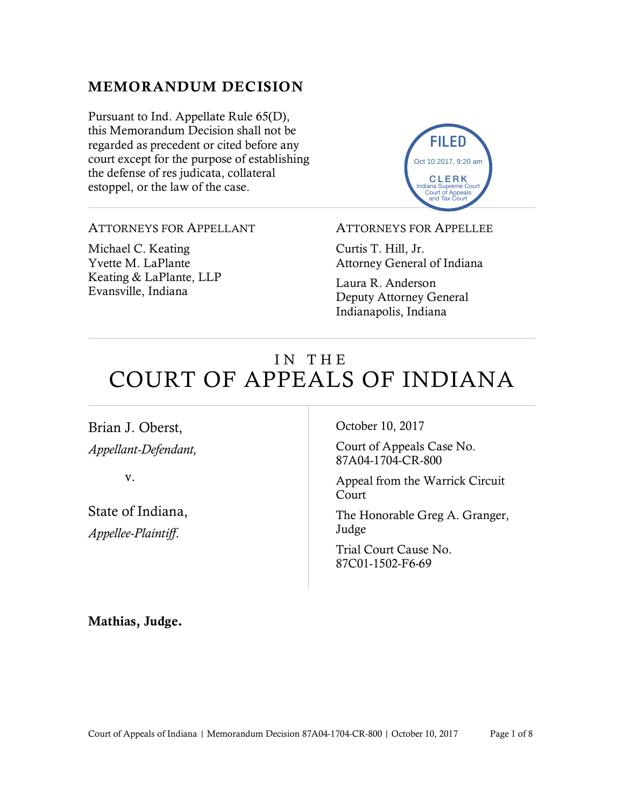### MEMORANDUM DECISION

Pursuant to Ind. Appellate Rule 65(D), this Memorandum Decision shall not be regarded as precedent or cited before any court except for the purpose of establishing the defense of res judicata, collateral estoppel, or the law of the case.



#### ATTORNEYS FOR APPELLANT

Michael C. Keating Yvette M. LaPlante Keating & LaPlante, LLP Evansville, Indiana

ATTORNEYS FOR APPELLEE

Curtis T. Hill, Jr. Attorney General of Indiana

Laura R. Anderson Deputy Attorney General Indianapolis, Indiana

# IN THE COURT OF APPEALS OF INDIANA

Brian J. Oberst, *Appellant-Defendant,*

v.

State of Indiana, *Appellee-Plaintiff*.

October 10, 2017

Court of Appeals Case No. 87A04-1704-CR-800

Appeal from the Warrick Circuit **Court** 

The Honorable Greg A. Granger, Judge

Trial Court Cause No. 87C01-1502-F6-69

Mathias, Judge.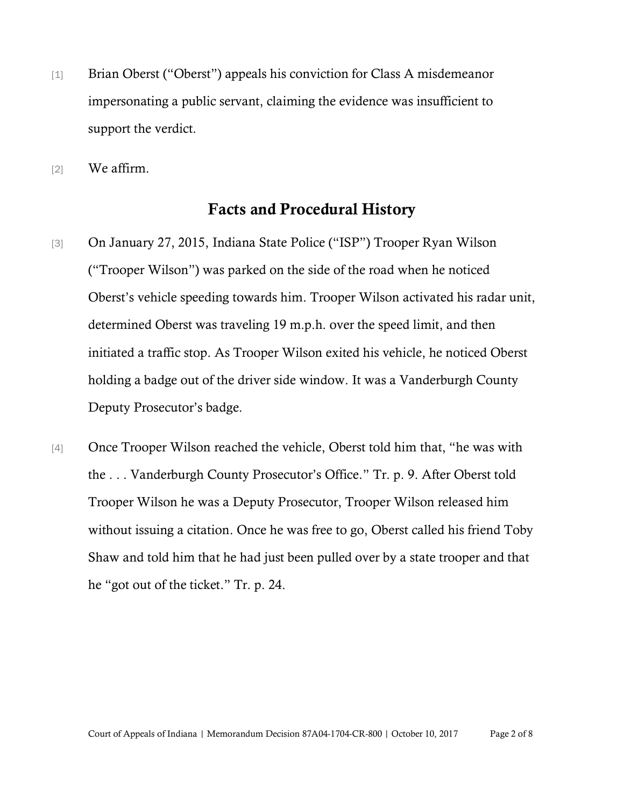- [1] Brian Oberst ("Oberst") appeals his conviction for Class A misdemeanor impersonating a public servant, claiming the evidence was insufficient to support the verdict.
- [2] We affirm.

#### Facts and Procedural History

- [3] On January 27, 2015, Indiana State Police ("ISP") Trooper Ryan Wilson ("Trooper Wilson") was parked on the side of the road when he noticed Oberst's vehicle speeding towards him. Trooper Wilson activated his radar unit, determined Oberst was traveling 19 m.p.h. over the speed limit, and then initiated a traffic stop. As Trooper Wilson exited his vehicle, he noticed Oberst holding a badge out of the driver side window. It was a Vanderburgh County Deputy Prosecutor's badge.
- [4] Once Trooper Wilson reached the vehicle, Oberst told him that, "he was with the . . . Vanderburgh County Prosecutor's Office." Tr. p. 9. After Oberst told Trooper Wilson he was a Deputy Prosecutor, Trooper Wilson released him without issuing a citation. Once he was free to go, Oberst called his friend Toby Shaw and told him that he had just been pulled over by a state trooper and that he "got out of the ticket." Tr. p. 24.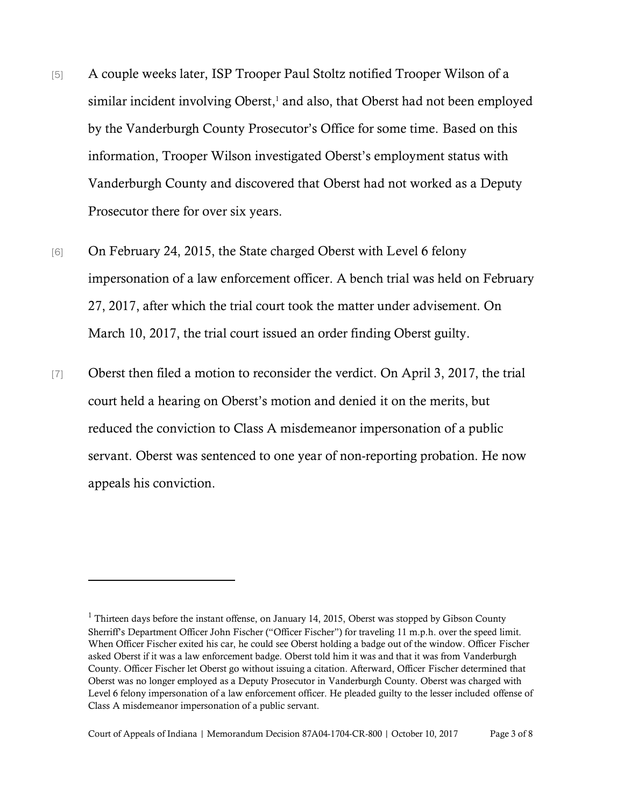- [5] A couple weeks later, ISP Trooper Paul Stoltz notified Trooper Wilson of a similar incident involving Oberst, <sup>1</sup> and also, that Oberst had not been employed by the Vanderburgh County Prosecutor's Office for some time. Based on this information, Trooper Wilson investigated Oberst's employment status with Vanderburgh County and discovered that Oberst had not worked as a Deputy Prosecutor there for over six years.
- [6] On February 24, 2015, the State charged Oberst with Level 6 felony impersonation of a law enforcement officer. A bench trial was held on February 27, 2017, after which the trial court took the matter under advisement. On March 10, 2017, the trial court issued an order finding Oberst guilty.
- [7] Oberst then filed a motion to reconsider the verdict. On April 3, 2017, the trial court held a hearing on Oberst's motion and denied it on the merits, but reduced the conviction to Class A misdemeanor impersonation of a public servant. Oberst was sentenced to one year of non-reporting probation. He now appeals his conviction.

<sup>&</sup>lt;sup>1</sup> Thirteen days before the instant offense, on January 14, 2015, Oberst was stopped by Gibson County Sherriff's Department Officer John Fischer ("Officer Fischer") for traveling 11 m.p.h. over the speed limit. When Officer Fischer exited his car, he could see Oberst holding a badge out of the window. Officer Fischer asked Oberst if it was a law enforcement badge. Oberst told him it was and that it was from Vanderburgh County. Officer Fischer let Oberst go without issuing a citation. Afterward, Officer Fischer determined that Oberst was no longer employed as a Deputy Prosecutor in Vanderburgh County. Oberst was charged with Level 6 felony impersonation of a law enforcement officer. He pleaded guilty to the lesser included offense of Class A misdemeanor impersonation of a public servant.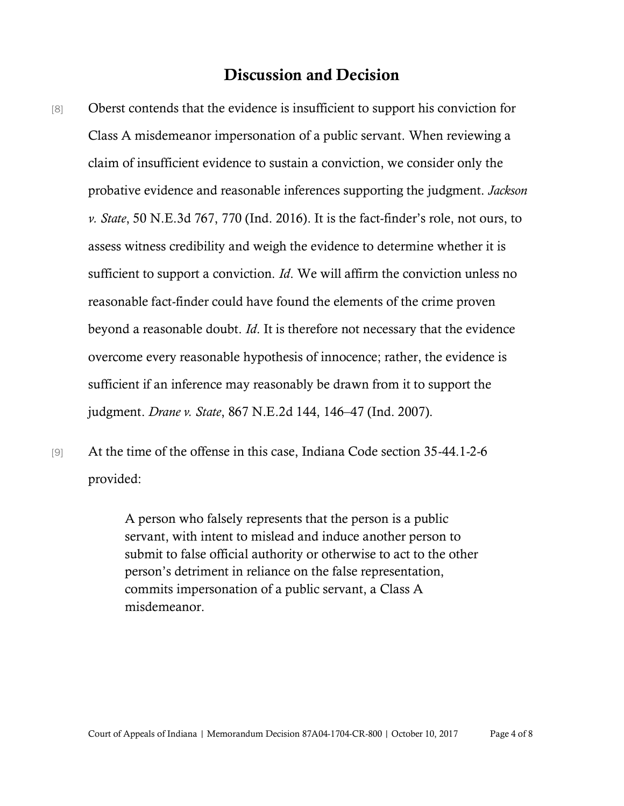## Discussion and Decision

- [8] Oberst contends that the evidence is insufficient to support his conviction for Class A misdemeanor impersonation of a public servant. When reviewing a claim of insufficient evidence to sustain a conviction, we consider only the probative evidence and reasonable inferences supporting the judgment. *Jackson v. State*, 50 N.E.3d 767, 770 (Ind. 2016). It is the fact-finder's role, not ours, to assess witness credibility and weigh the evidence to determine whether it is sufficient to support a conviction. *Id*. We will affirm the conviction unless no reasonable fact-finder could have found the elements of the crime proven beyond a reasonable doubt. *Id*. It is therefore not necessary that the evidence overcome every reasonable hypothesis of innocence; rather, the evidence is sufficient if an inference may reasonably be drawn from it to support the judgment. *Drane v. State*, 867 N.E.2d 144, 146–47 (Ind. 2007).
- [9] At the time of the offense in this case, Indiana Code section 35-44.1-2-6 provided:

A person who falsely represents that the person is a public servant, with intent to mislead and induce another person to submit to false official authority or otherwise to act to the other person's detriment in reliance on the false representation, commits impersonation of a public servant, a Class A misdemeanor.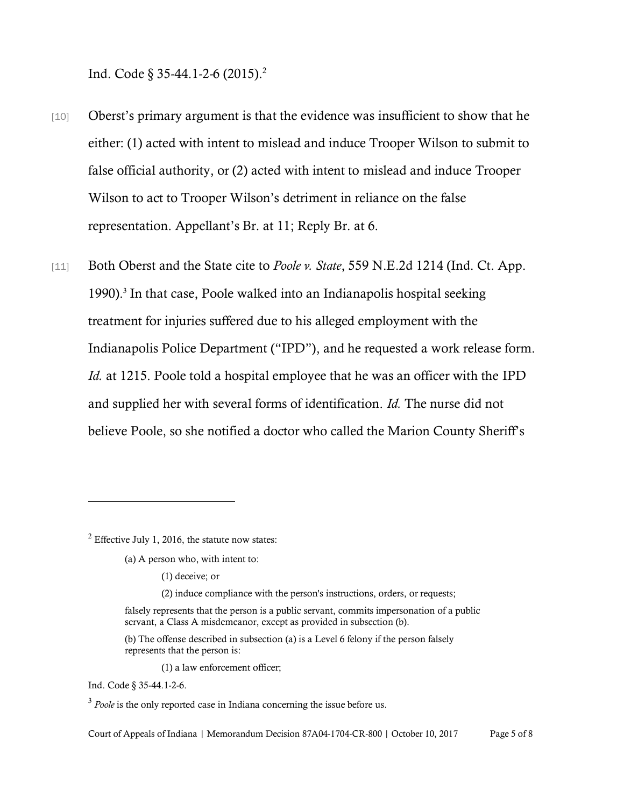Ind. Code § 35-44.1-2-6 (2015).<sup>2</sup>

- [10] Oberst's primary argument is that the evidence was insufficient to show that he either: (1) acted with intent to mislead and induce Trooper Wilson to submit to false official authority, or (2) acted with intent to mislead and induce Trooper Wilson to act to Trooper Wilson's detriment in reliance on the false representation. Appellant's Br. at 11; Reply Br. at 6.
- [11] Both Oberst and the State cite to *Poole v. State*, 559 N.E.2d 1214 (Ind. Ct. App.) 1990).<sup>3</sup> In that case, Poole walked into an Indianapolis hospital seeking treatment for injuries suffered due to his alleged employment with the Indianapolis Police Department ("IPD"), and he requested a work release form. *Id.* at 1215. Poole told a hospital employee that he was an officer with the IPD and supplied her with several forms of identification. *Id.* The nurse did not believe Poole, so she notified a doctor who called the Marion County Sheriff's

 $<sup>2</sup>$  Effective July 1, 2016, the statute now states:</sup>

- (a) A person who, with intent to:
	- (1) deceive; or
	- (2) induce compliance with the person's instructions, orders, or requests;
- falsely represents that the person is a public servant, commits impersonation of a public servant, a Class A misdemeanor, except as provided in subsection (b).
- (b) The offense described in subsection (a) is a Level 6 felony if the person falsely represents that the person is:

(1) a law enforcement officer;

Ind. Code § 35-44.1-2-6.

<sup>&</sup>lt;sup>3</sup> Poole is the only reported case in Indiana concerning the issue before us.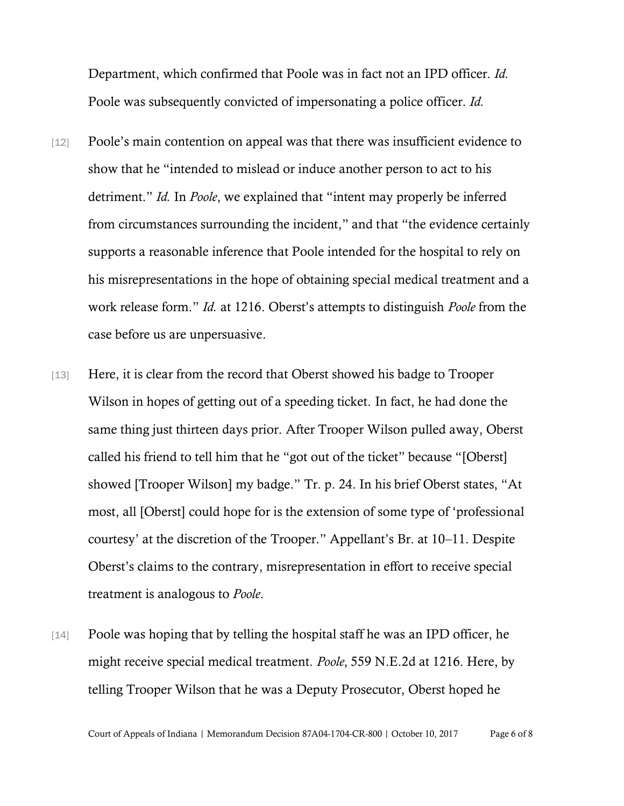Department, which confirmed that Poole was in fact not an IPD officer. *Id.* Poole was subsequently convicted of impersonating a police officer. *Id.*

- [12] Poole's main contention on appeal was that there was insufficient evidence to show that he "intended to mislead or induce another person to act to his detriment." *Id.* In *Poole*, we explained that "intent may properly be inferred from circumstances surrounding the incident," and that "the evidence certainly supports a reasonable inference that Poole intended for the hospital to rely on his misrepresentations in the hope of obtaining special medical treatment and a work release form." *Id.* at 1216. Oberst's attempts to distinguish *Poole* from the case before us are unpersuasive.
- [13] Here, it is clear from the record that Oberst showed his badge to Trooper Wilson in hopes of getting out of a speeding ticket. In fact, he had done the same thing just thirteen days prior. After Trooper Wilson pulled away, Oberst called his friend to tell him that he "got out of the ticket" because "[Oberst] showed [Trooper Wilson] my badge." Tr. p. 24. In his brief Oberst states, "At most, all [Oberst] could hope for is the extension of some type of 'professional courtesy' at the discretion of the Trooper." Appellant's Br. at 10–11. Despite Oberst's claims to the contrary, misrepresentation in effort to receive special treatment is analogous to *Poole*.
- [14] Poole was hoping that by telling the hospital staff he was an IPD officer, he might receive special medical treatment. *Poole*, 559 N.E.2d at 1216. Here, by telling Trooper Wilson that he was a Deputy Prosecutor, Oberst hoped he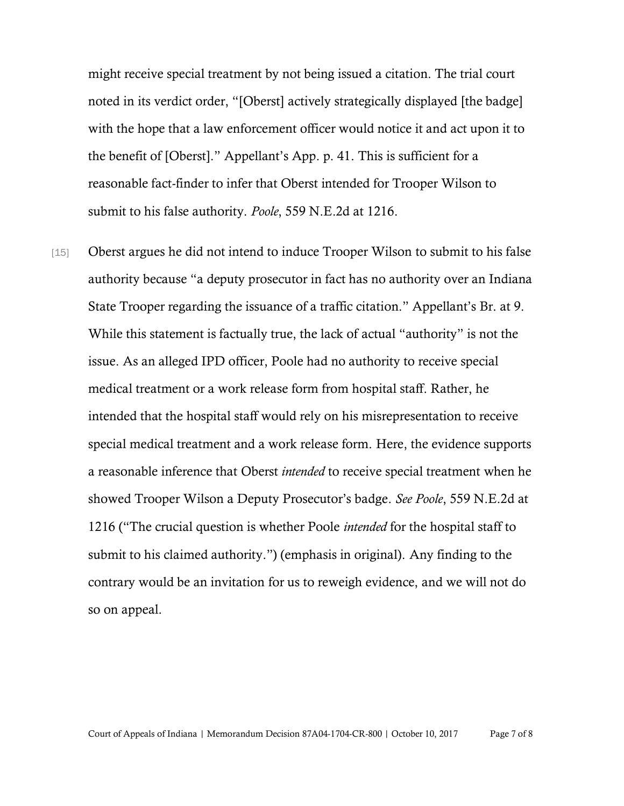might receive special treatment by not being issued a citation. The trial court noted in its verdict order, "[Oberst] actively strategically displayed [the badge] with the hope that a law enforcement officer would notice it and act upon it to the benefit of [Oberst]." Appellant's App. p. 41. This is sufficient for a reasonable fact-finder to infer that Oberst intended for Trooper Wilson to submit to his false authority. *Poole*, 559 N.E.2d at 1216.

[15] Oberst argues he did not intend to induce Trooper Wilson to submit to his false authority because "a deputy prosecutor in fact has no authority over an Indiana State Trooper regarding the issuance of a traffic citation." Appellant's Br. at 9. While this statement is factually true, the lack of actual "authority" is not the issue. As an alleged IPD officer, Poole had no authority to receive special medical treatment or a work release form from hospital staff. Rather, he intended that the hospital staff would rely on his misrepresentation to receive special medical treatment and a work release form. Here, the evidence supports a reasonable inference that Oberst *intended* to receive special treatment when he showed Trooper Wilson a Deputy Prosecutor's badge. *See Poole*, 559 N.E.2d at 1216 ("The crucial question is whether Poole *intended* for the hospital staff to submit to his claimed authority.") (emphasis in original). Any finding to the contrary would be an invitation for us to reweigh evidence, and we will not do so on appeal.